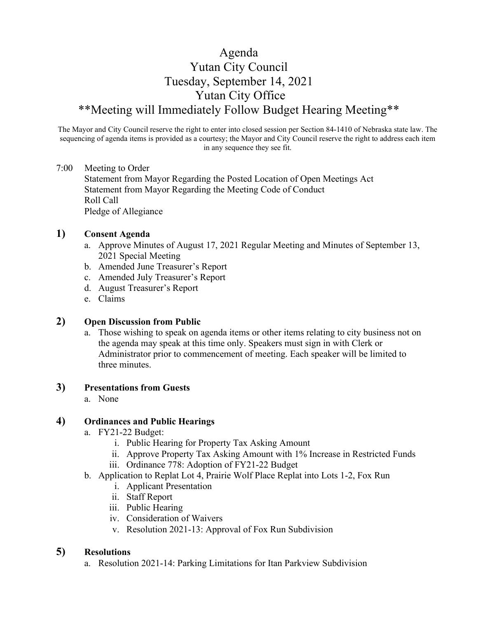# Agenda Yutan City Council Tuesday, September 14, 2021 Yutan City Office \*\*Meeting will Immediately Follow Budget Hearing Meeting\*\*

The Mayor and City Council reserve the right to enter into closed session per Section 84-1410 of Nebraska state law. The sequencing of agenda items is provided as a courtesy; the Mayor and City Council reserve the right to address each item in any sequence they see fit.

#### 7:00 Meeting to Order

Statement from Mayor Regarding the Posted Location of Open Meetings Act Statement from Mayor Regarding the Meeting Code of Conduct Roll Call Pledge of Allegiance

#### **1) Consent Agenda**

- a. Approve Minutes of August 17, 2021 Regular Meeting and Minutes of September 13, 2021 Special Meeting
- b. Amended June Treasurer's Report
- c. Amended July Treasurer's Report
- d. August Treasurer's Report
- e. Claims

## **2) Open Discussion from Public**

a. Those wishing to speak on agenda items or other items relating to city business not on the agenda may speak at this time only. Speakers must sign in with Clerk or Administrator prior to commencement of meeting. Each speaker will be limited to three minutes.

### **3) Presentations from Guests**

a. None

## **4) Ordinances and Public Hearings**

- a. FY21-22 Budget:
	- i. Public Hearing for Property Tax Asking Amount
	- ii. Approve Property Tax Asking Amount with 1% Increase in Restricted Funds
	- iii. Ordinance 778: Adoption of FY21-22 Budget
- b. Application to Replat Lot 4, Prairie Wolf Place Replat into Lots 1-2, Fox Run
	- i. Applicant Presentation
	- ii. Staff Report
	- iii. Public Hearing
	- iv. Consideration of Waivers
	- v. Resolution 2021-13: Approval of Fox Run Subdivision

## **5) Resolutions**

a. Resolution 2021-14: Parking Limitations for Itan Parkview Subdivision